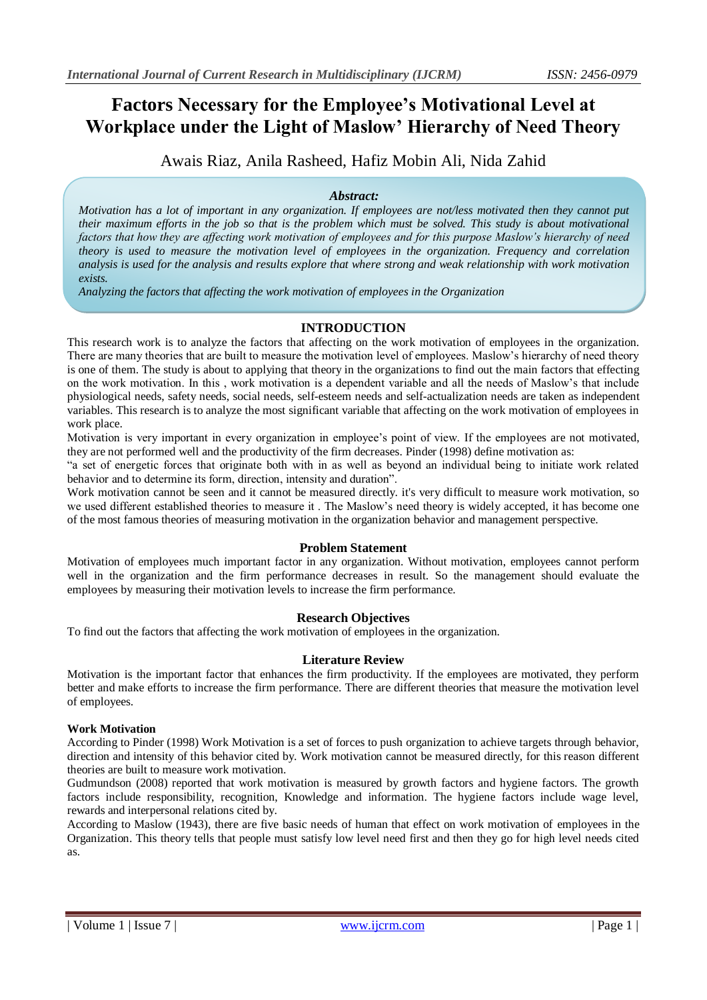# **Factors Necessary for the Employee's Motivational Level at Workplace under the Light of Maslow' Hierarchy of Need Theory**

Awais Riaz, Anila Rasheed, Hafiz Mobin Ali, Nida Zahid

# *Abstract:*

*Motivation has a lot of important in any organization. If employees are not/less motivated then they cannot put their maximum efforts in the job so that is the problem which must be solved. This study is about motivational factors that how they are affecting work motivation of employees and for this purpose Maslow's hierarchy of need theory is used to measure the motivation level of employees in the organization. Frequency and correlation analysis is used for the analysis and results explore that where strong and weak relationship with work motivation exists.* 

*Analyzing the factors that affecting the work motivation of employees in the Organization*

## **INTRODUCTION**

This research work is to analyze the factors that affecting on the work motivation of employees in the organization. There are many theories that are built to measure the motivation level of employees. Maslow's hierarchy of need theory is one of them. The study is about to applying that theory in the organizations to find out the main factors that effecting on the work motivation. In this , work motivation is a dependent variable and all the needs of Maslow's that include physiological needs, safety needs, social needs, self-esteem needs and self-actualization needs are taken as independent variables. This research is to analyze the most significant variable that affecting on the work motivation of employees in work place.

Motivation is very important in every organization in employee's point of view. If the employees are not motivated, they are not performed well and the productivity of the firm decreases. Pinder (1998) define motivation as:

"a set of energetic forces that originate both with in as well as beyond an individual being to initiate work related behavior and to determine its form, direction, intensity and duration".

Work motivation cannot be seen and it cannot be measured directly. it's very difficult to measure work motivation, so we used different established theories to measure it . The Maslow's need theory is widely accepted, it has become one of the most famous theories of measuring motivation in the organization behavior and management perspective.

## **Problem Statement**

Motivation of employees much important factor in any organization. Without motivation, employees cannot perform well in the organization and the firm performance decreases in result. So the management should evaluate the employees by measuring their motivation levels to increase the firm performance.

# **Research Objectives**

To find out the factors that affecting the work motivation of employees in the organization.

## **Literature Review**

Motivation is the important factor that enhances the firm productivity. If the employees are motivated, they perform better and make efforts to increase the firm performance. There are different theories that measure the motivation level of employees.

## **Work Motivation**

According to Pinder (1998) Work Motivation is a set of forces to push organization to achieve targets through behavior, direction and intensity of this behavior cited by. Work motivation cannot be measured directly, for this reason different theories are built to measure work motivation.

Gudmundson (2008) reported that work motivation is measured by growth factors and hygiene factors. The growth factors include responsibility, recognition, Knowledge and information. The hygiene factors include wage level, rewards and interpersonal relations cited by.

According to Maslow (1943), there are five basic needs of human that effect on work motivation of employees in the Organization. This theory tells that people must satisfy low level need first and then they go for high level needs cited as.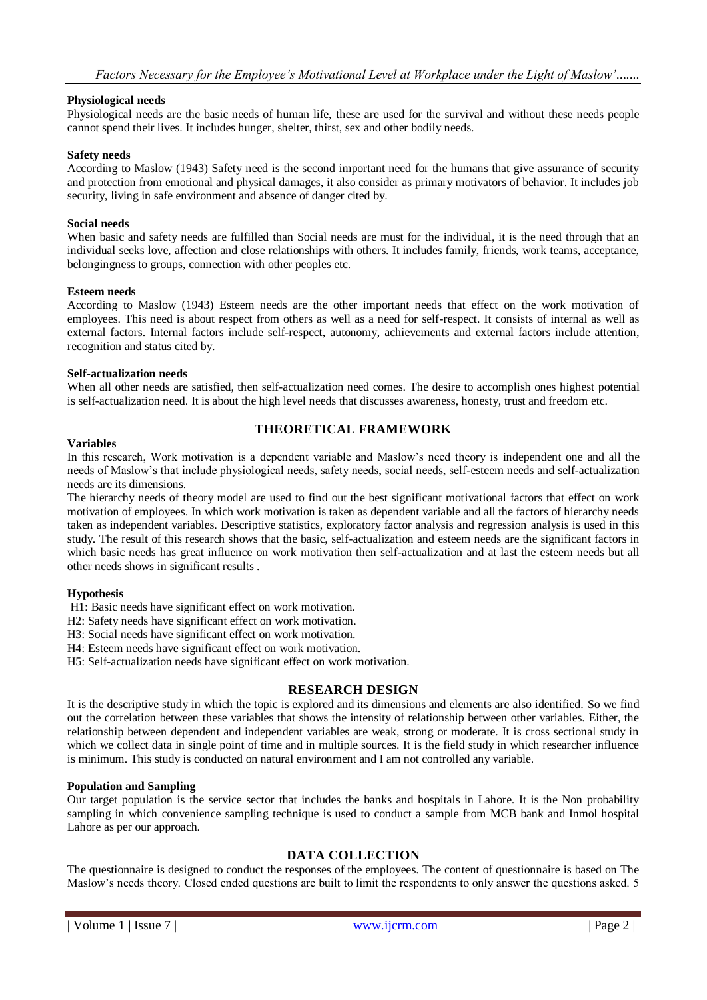#### **Physiological needs**

Physiological needs are the basic needs of human life, these are used for the survival and without these needs people cannot spend their lives. It includes hunger, shelter, thirst, sex and other bodily needs.

#### **Safety needs**

According to Maslow (1943) Safety need is the second important need for the humans that give assurance of security and protection from emotional and physical damages, it also consider as primary motivators of behavior. It includes job security, living in safe environment and absence of danger cited by.

#### **Social needs**

When basic and safety needs are fulfilled than Social needs are must for the individual, it is the need through that an individual seeks love, affection and close relationships with others. It includes family, friends, work teams, acceptance, belongingness to groups, connection with other peoples etc.

#### **Esteem needs**

According to Maslow (1943) Esteem needs are the other important needs that effect on the work motivation of employees. This need is about respect from others as well as a need for self-respect. It consists of internal as well as external factors. Internal factors include self-respect, autonomy, achievements and external factors include attention, recognition and status cited by.

#### **Self-actualization needs**

When all other needs are satisfied, then self-actualization need comes. The desire to accomplish ones highest potential is self-actualization need. It is about the high level needs that discusses awareness, honesty, trust and freedom etc.

#### **Variables**

## **THEORETICAL FRAMEWORK**

In this research, Work motivation is a dependent variable and Maslow's need theory is independent one and all the needs of Maslow's that include physiological needs, safety needs, social needs, self-esteem needs and self-actualization needs are its dimensions.

The hierarchy needs of theory model are used to find out the best significant motivational factors that effect on work motivation of employees. In which work motivation is taken as dependent variable and all the factors of hierarchy needs taken as independent variables. Descriptive statistics, exploratory factor analysis and regression analysis is used in this study. The result of this research shows that the basic, self-actualization and esteem needs are the significant factors in which basic needs has great influence on work motivation then self-actualization and at last the esteem needs but all other needs shows in significant results .

#### **Hypothesis**

H1: Basic needs have significant effect on work motivation.

- H2: Safety needs have significant effect on work motivation.
- H3: Social needs have significant effect on work motivation.
- H4: Esteem needs have significant effect on work motivation.
- H5: Self-actualization needs have significant effect on work motivation.

## **RESEARCH DESIGN**

It is the descriptive study in which the topic is explored and its dimensions and elements are also identified. So we find out the correlation between these variables that shows the intensity of relationship between other variables. Either, the relationship between dependent and independent variables are weak, strong or moderate. It is cross sectional study in which we collect data in single point of time and in multiple sources. It is the field study in which researcher influence is minimum. This study is conducted on natural environment and I am not controlled any variable.

#### **Population and Sampling**

Our target population is the service sector that includes the banks and hospitals in Lahore. It is the Non probability sampling in which convenience sampling technique is used to conduct a sample from MCB bank and Inmol hospital Lahore as per our approach.

## **DATA COLLECTION**

The questionnaire is designed to conduct the responses of the employees. The content of questionnaire is based on The Maslow's needs theory. Closed ended questions are built to limit the respondents to only answer the questions asked. 5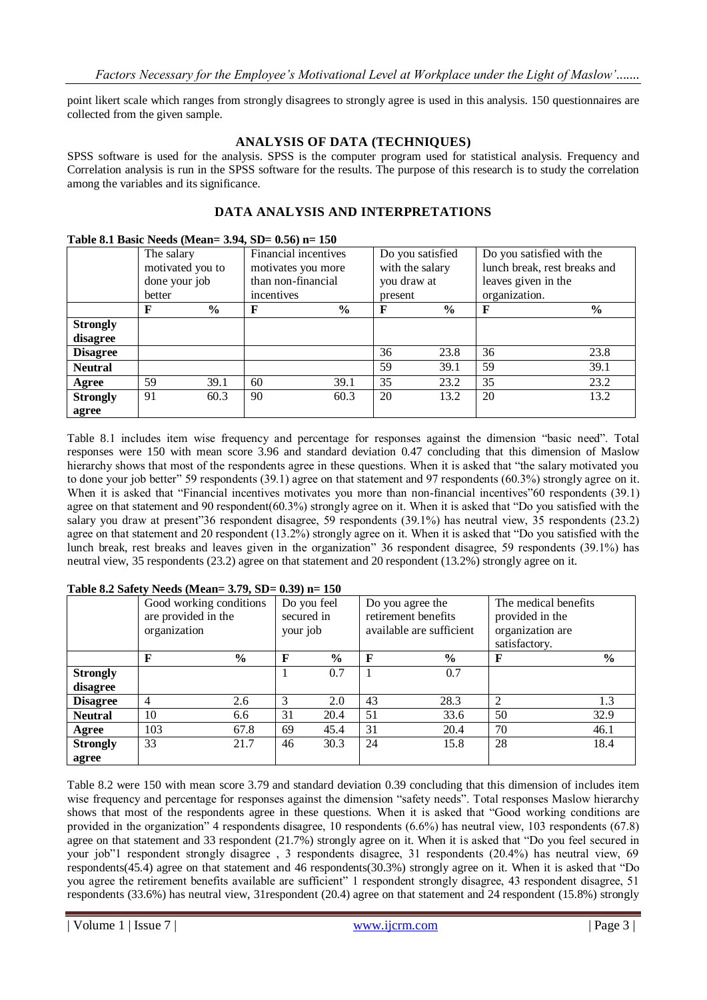point likert scale which ranges from strongly disagrees to strongly agree is used in this analysis. 150 questionnaires are collected from the given sample.

## **ANALYSIS OF DATA (TECHNIQUES)**

SPSS software is used for the analysis. SPSS is the computer program used for statistical analysis. Frequency and Correlation analysis is run in the SPSS software for the results. The purpose of this research is to study the correlation among the variables and its significance.

# **DATA ANALYSIS AND INTERPRETATIONS**

#### **Table 8.1 Basic Needs (Mean= 3.94, SD= 0.56) n= 150**

|                 | The salary       |               | Financial incentives |               | Do you satisfied |               | Do you satisfied with the    |               |  |
|-----------------|------------------|---------------|----------------------|---------------|------------------|---------------|------------------------------|---------------|--|
|                 | motivated you to |               | motivates you more   |               | with the salary  |               | lunch break, rest breaks and |               |  |
|                 | done your job    |               | than non-financial   |               | you draw at      |               | leaves given in the          |               |  |
|                 | better           |               | incentives           |               | present          |               | organization.                |               |  |
|                 | $\mathbf F$      | $\frac{6}{6}$ | F                    | $\frac{6}{6}$ | F                | $\frac{6}{9}$ | F                            | $\frac{6}{6}$ |  |
| <b>Strongly</b> |                  |               |                      |               |                  |               |                              |               |  |
| disagree        |                  |               |                      |               |                  |               |                              |               |  |
| <b>Disagree</b> |                  |               |                      |               | 36               | 23.8          | 36                           | 23.8          |  |
| <b>Neutral</b>  |                  |               |                      |               | 59               | 39.1          | 59                           | 39.1          |  |
| Agree           | 59               | 39.1          | 60                   | 39.1          | 35               | 23.2          | 35                           | 23.2          |  |
| <b>Strongly</b> | 91               | 60.3          | 90                   | 60.3          | 20               | 13.2          | 20                           | 13.2          |  |
| agree           |                  |               |                      |               |                  |               |                              |               |  |

Table 8.1 includes item wise frequency and percentage for responses against the dimension "basic need". Total responses were 150 with mean score 3.96 and standard deviation 0.47 concluding that this dimension of Maslow hierarchy shows that most of the respondents agree in these questions. When it is asked that "the salary motivated you to done your job better" 59 respondents (39.1) agree on that statement and 97 respondents (60.3%) strongly agree on it. When it is asked that "Financial incentives motivates you more than non-financial incentives"60 respondents (39.1) agree on that statement and 90 respondent(60.3%) strongly agree on it. When it is asked that "Do you satisfied with the salary you draw at present"36 respondent disagree, 59 respondents (39.1%) has neutral view, 35 respondents (23.2) agree on that statement and 20 respondent (13.2%) strongly agree on it. When it is asked that "Do you satisfied with the lunch break, rest breaks and leaves given in the organization" 36 respondent disagree, 59 respondents (39.1%) has neutral view, 35 respondents (23.2) agree on that statement and 20 respondent (13.2%) strongly agree on it.

|                 | Good working conditions<br>are provided in the<br>organization |               | Do you feel<br>secured in<br>your job |               |                          | Do you agree the<br>retirement benefits | The medical benefits<br>provided in the |               |  |  |
|-----------------|----------------------------------------------------------------|---------------|---------------------------------------|---------------|--------------------------|-----------------------------------------|-----------------------------------------|---------------|--|--|
|                 |                                                                |               |                                       |               | available are sufficient |                                         | organization are<br>satisfactory.       |               |  |  |
|                 | F                                                              | $\frac{0}{0}$ | $\mathbf{F}$                          | $\frac{0}{0}$ | $\mathbf F$              | $\%$                                    | $\mathbf F$                             | $\frac{0}{0}$ |  |  |
| <b>Strongly</b> |                                                                |               |                                       | 0.7           |                          | 0.7                                     |                                         |               |  |  |
| disagree        |                                                                |               |                                       |               |                          |                                         |                                         |               |  |  |
| <b>Disagree</b> | $\overline{4}$                                                 | 2.6           | 3                                     | 2.0           | 43                       | 28.3                                    | 2                                       | 1.3           |  |  |
| <b>Neutral</b>  | 10                                                             | 6.6           | 31                                    | 20.4          | 51                       | 33.6                                    | 50                                      | 32.9          |  |  |
| Agree           | 103                                                            | 67.8          | 69                                    | 45.4          | 31                       | 20.4                                    | 70                                      | 46.1          |  |  |
| <b>Strongly</b> | 33                                                             | 21.7          | 46                                    | 30.3          | 24                       | 15.8                                    | 28                                      | 18.4          |  |  |
| agree           |                                                                |               |                                       |               |                          |                                         |                                         |               |  |  |

#### **Table 8.2 Safety Needs (Mean= 3.79, SD= 0.39) n= 150**

Table 8.2 were 150 with mean score 3.79 and standard deviation 0.39 concluding that this dimension of includes item wise frequency and percentage for responses against the dimension "safety needs". Total responses Maslow hierarchy shows that most of the respondents agree in these questions. When it is asked that "Good working conditions are provided in the organization" 4 respondents disagree, 10 respondents (6.6%) has neutral view, 103 respondents (67.8) agree on that statement and 33 respondent (21.7%) strongly agree on it. When it is asked that "Do you feel secured in your job"1 respondent strongly disagree , 3 respondents disagree, 31 respondents (20.4%) has neutral view, 69 respondents(45.4) agree on that statement and 46 respondents(30.3%) strongly agree on it. When it is asked that "Do you agree the retirement benefits available are sufficient" 1 respondent strongly disagree, 43 respondent disagree, 51 respondents (33.6%) has neutral view, 31respondent (20.4) agree on that statement and 24 respondent (15.8%) strongly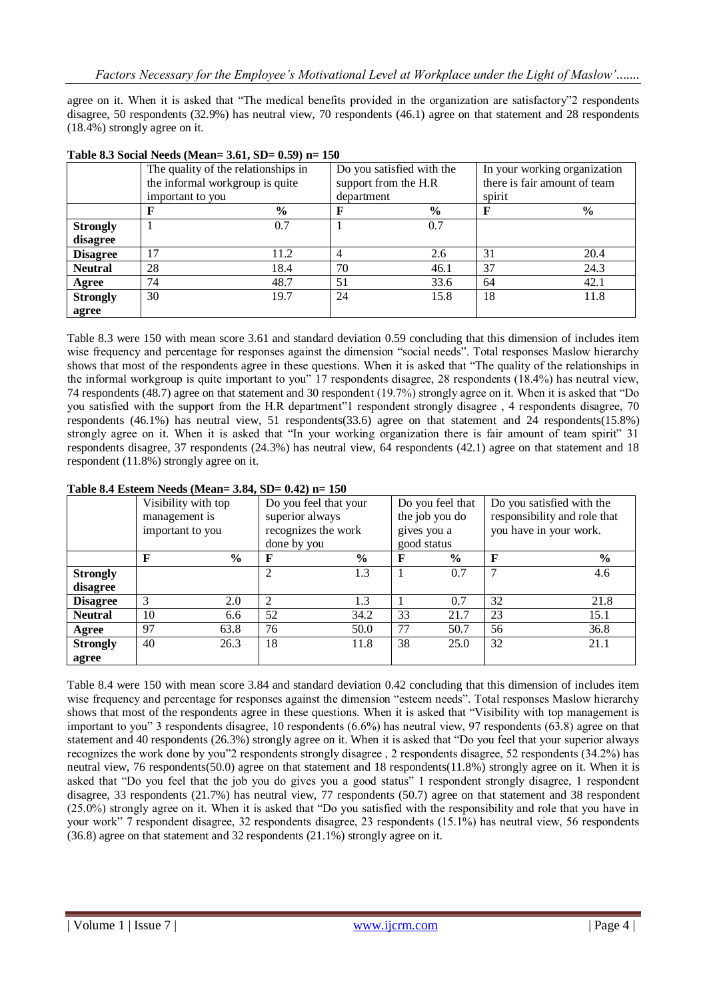agree on it. When it is asked that "The medical benefits provided in the organization are satisfactory"2 respondents disagree, 50 respondents (32.9%) has neutral view, 70 respondents (46.1) agree on that statement and 28 respondents (18.4%) strongly agree on it.

|                 | The quality of the relationships in<br>the informal workgroup is quite |      | Do you satisfied with the<br>support from the H.R | In your working organization<br>there is fair amount of team |        |               |  |
|-----------------|------------------------------------------------------------------------|------|---------------------------------------------------|--------------------------------------------------------------|--------|---------------|--|
|                 | important to you                                                       |      | department                                        |                                                              | spirit |               |  |
|                 |                                                                        | $\%$ |                                                   | $\frac{0}{0}$                                                |        | $\frac{6}{6}$ |  |
| <b>Strongly</b> |                                                                        | 0.7  |                                                   | 0.7                                                          |        |               |  |
| disagree        |                                                                        |      |                                                   |                                                              |        |               |  |
| <b>Disagree</b> | 17                                                                     | 11.2 | 4                                                 | 2.6                                                          | 31     | 20.4          |  |
| <b>Neutral</b>  | 28                                                                     | 18.4 | 70                                                | 46.1                                                         | 37     | 24.3          |  |
| Agree           | 74                                                                     | 48.7 | 51                                                | 33.6                                                         | 64     | 42.1          |  |
| <b>Strongly</b> | 30                                                                     | 19.7 | 24                                                | 15.8                                                         | 18     | 11.8          |  |
| agree           |                                                                        |      |                                                   |                                                              |        |               |  |

#### **Table 8.3 Social Needs (Mean= 3.61, SD= 0.59) n= 150**

Table 8.3 were 150 with mean score 3.61 and standard deviation 0.59 concluding that this dimension of includes item wise frequency and percentage for responses against the dimension "social needs". Total responses Maslow hierarchy shows that most of the respondents agree in these questions. When it is asked that "The quality of the relationships in the informal workgroup is quite important to you" 17 respondents disagree, 28 respondents (18.4%) has neutral view, 74 respondents (48.7) agree on that statement and 30 respondent (19.7%) strongly agree on it. When it is asked that "Do you satisfied with the support from the H.R department"1 respondent strongly disagree , 4 respondents disagree, 70 respondents (46.1%) has neutral view, 51 respondents(33.6) agree on that statement and 24 respondents(15.8%) strongly agree on it. When it is asked that "In your working organization there is fair amount of team spirit" 31 respondents disagree, 37 respondents (24.3%) has neutral view, 64 respondents (42.1) agree on that statement and 18 respondent (11.8%) strongly agree on it.

|                 | Visibility with top |               | Do you feel that your    |               | Do you feel that |               | Do you satisfied with the    |                        |  |
|-----------------|---------------------|---------------|--------------------------|---------------|------------------|---------------|------------------------------|------------------------|--|
|                 | management is       |               | superior always          |               | the job you do   |               | responsibility and role that |                        |  |
|                 | important to you    |               | recognizes the work      |               | gives you a      |               |                              | you have in your work. |  |
|                 |                     |               | done by you              |               | good status      |               |                              |                        |  |
|                 | F                   | $\frac{6}{9}$ | F                        | $\frac{0}{0}$ | F                | $\frac{0}{0}$ | F                            | $\frac{6}{6}$          |  |
| <b>Strongly</b> |                     |               | $\overline{c}$           | 1.3           |                  | 0.7           |                              | 4.6                    |  |
| disagree        |                     |               |                          |               |                  |               |                              |                        |  |
| <b>Disagree</b> | 3                   | 2.0           | $\overline{\mathcal{L}}$ | 1.3           |                  | 0.7           | 32                           | 21.8                   |  |
| <b>Neutral</b>  | 10                  | 6.6           | 52                       | 34.2          | 33               | 21.7          | 23                           | 15.1                   |  |
| Agree           | 97                  | 63.8          | 76                       | 50.0          | 77               | 50.7          | 56                           | 36.8                   |  |
| <b>Strongly</b> | 40                  | 26.3          | 18                       | 11.8          | 38               | 25.0          | 32                           | 21.1                   |  |
| agree           |                     |               |                          |               |                  |               |                              |                        |  |

#### **Table 8.4 Esteem Needs (Mean= 3.84, SD= 0.42) n= 150**

Table 8.4 were 150 with mean score 3.84 and standard deviation 0.42 concluding that this dimension of includes item wise frequency and percentage for responses against the dimension "esteem needs". Total responses Maslow hierarchy shows that most of the respondents agree in these questions. When it is asked that "Visibility with top management is important to you" 3 respondents disagree, 10 respondents (6.6%) has neutral view, 97 respondents (63.8) agree on that statement and 40 respondents (26.3%) strongly agree on it. When it is asked that "Do you feel that your superior always recognizes the work done by you"2 respondents strongly disagree , 2 respondents disagree, 52 respondents (34.2%) has neutral view, 76 respondents(50.0) agree on that statement and 18 respondents(11.8%) strongly agree on it. When it is asked that "Do you feel that the job you do gives you a good status" 1 respondent strongly disagree, 1 respondent disagree, 33 respondents (21.7%) has neutral view, 77 respondents (50.7) agree on that statement and 38 respondent (25.0%) strongly agree on it. When it is asked that "Do you satisfied with the responsibility and role that you have in your work" 7 respondent disagree, 32 respondents disagree, 23 respondents (15.1%) has neutral view, 56 respondents (36.8) agree on that statement and 32 respondents (21.1%) strongly agree on it.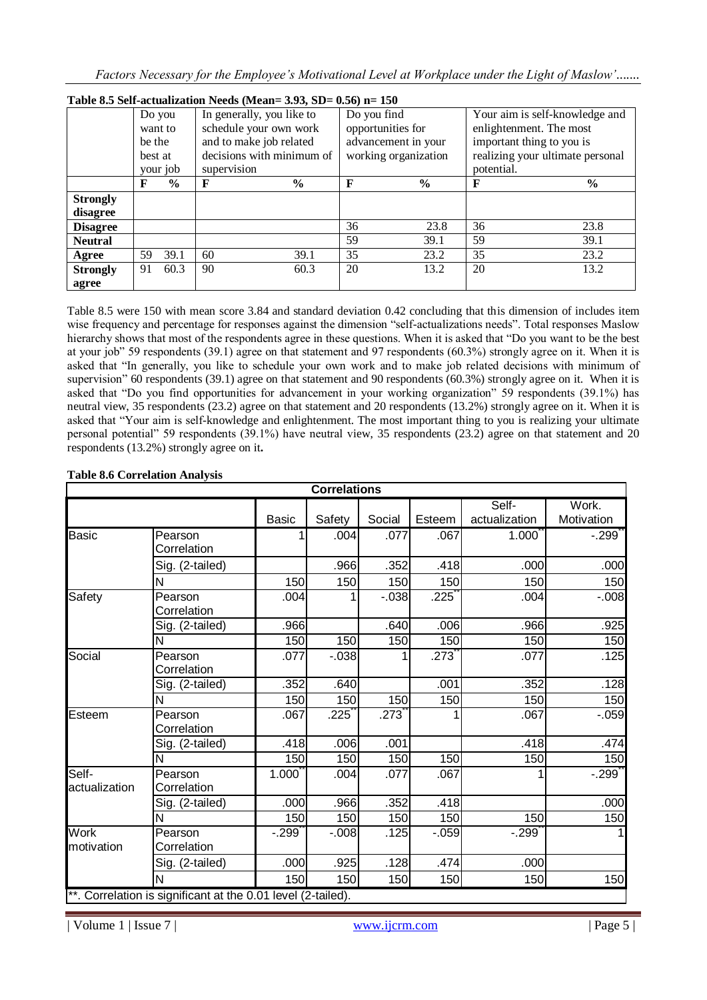| Table 8.5 Self-actualization Needs (Mean= $3.93$ , SD= $0.56$ ) n= $150$ |                                     |               |                           |               |                      |                                |                         |                                  |  |  |  |
|--------------------------------------------------------------------------|-------------------------------------|---------------|---------------------------|---------------|----------------------|--------------------------------|-------------------------|----------------------------------|--|--|--|
|                                                                          | In generally, you like to<br>Do you |               |                           | Do you find   |                      | Your aim is self-knowledge and |                         |                                  |  |  |  |
|                                                                          | want to                             |               | schedule your own work    |               |                      | opportunities for              | enlightenment. The most |                                  |  |  |  |
|                                                                          | be the                              |               | and to make job related   |               |                      | advancement in your            |                         | important thing to you is        |  |  |  |
|                                                                          | best at                             |               | decisions with minimum of |               | working organization |                                |                         | realizing your ultimate personal |  |  |  |
|                                                                          | your job                            |               | supervision               |               |                      |                                | potential.              |                                  |  |  |  |
|                                                                          | F                                   | $\frac{6}{9}$ | F                         | $\frac{6}{9}$ | F                    | $\frac{0}{0}$                  | $\mathbf F$             | $\frac{6}{9}$                    |  |  |  |
| <b>Strongly</b>                                                          |                                     |               |                           |               |                      |                                |                         |                                  |  |  |  |
| disagree                                                                 |                                     |               |                           |               |                      |                                |                         |                                  |  |  |  |
| <b>Disagree</b>                                                          |                                     |               |                           |               | 36                   | 23.8                           | 36                      | 23.8                             |  |  |  |
| <b>Neutral</b>                                                           |                                     |               |                           |               | 59                   | 39.1                           | 59                      | 39.1                             |  |  |  |
| Agree                                                                    | 59                                  | 39.1          | 60                        | 39.1          | 35                   | 23.2                           | 35                      | 23.2                             |  |  |  |
| <b>Strongly</b>                                                          | 91                                  | 60.3          | 90                        | 60.3          | 20                   | 13.2                           | 20                      | 13.2                             |  |  |  |
| agree                                                                    |                                     |               |                           |               |                      |                                |                         |                                  |  |  |  |

Table 8.5 were 150 with mean score 3.84 and standard deviation 0.42 concluding that this dimension of includes item wise frequency and percentage for responses against the dimension "self-actualizations needs". Total responses Maslow hierarchy shows that most of the respondents agree in these questions. When it is asked that "Do you want to be the best at your job" 59 respondents (39.1) agree on that statement and 97 respondents (60.3%) strongly agree on it. When it is asked that "In generally, you like to schedule your own work and to make job related decisions with minimum of supervision" 60 respondents (39.1) agree on that statement and 90 respondents (60.3%) strongly agree on it. When it is asked that "Do you find opportunities for advancement in your working organization" 59 respondents (39.1%) has neutral view, 35 respondents (23.2) agree on that statement and 20 respondents (13.2%) strongly agree on it. When it is asked that "Your aim is self-knowledge and enlightenment. The most important thing to you is realizing your ultimate personal potential" 59 respondents (39.1%) have neutral view, 35 respondents (23.2) agree on that statement and 20 respondents (13.2%) strongly agree on it**.**

|                           |                                                              |        | <b>Correlations</b> |         |          |               |            |
|---------------------------|--------------------------------------------------------------|--------|---------------------|---------|----------|---------------|------------|
|                           |                                                              |        |                     |         |          | Self-         | Work.      |
|                           |                                                              | Basic  | Safety              | Social  | Esteem   | actualization | Motivation |
| <b>Basic</b>              | Pearson<br>Correlation                                       |        | .004                | .077    | .067     | 1.000         | $-299$     |
|                           | Sig. (2-tailed)                                              |        | .966                | .352    | .418     | .000          | .000       |
|                           | N                                                            | 150    | 150                 | 150     | 150      | 150           | 150        |
| Safety                    | Pearson<br>Correlation                                       | .004   |                     | $-0.38$ | .225     | .004          | $-.008$    |
|                           | Sig. (2-tailed)                                              | .966   |                     | .640    | .006     | .966          | .925       |
|                           | N                                                            | 150    | 150                 | 150     | 150      | 150           | 150        |
| Social                    | Pearson<br>Correlation                                       | .077   | $-0.038$            |         | .273     | .077          | .125       |
|                           | Sig. (2-tailed)                                              | .352   | .640                |         | .001     | .352          | .128       |
|                           | N                                                            | 150    | 150                 | 150     | 150      | 150           | 150        |
| Esteem                    | Pearson<br>Correlation                                       | .067   | .225                | .273    |          | .067          | $-0.059$   |
|                           | Sig. (2-tailed)                                              | .418   | .006                | .001    |          | .418          | .474       |
|                           | N                                                            | 150    | 150                 | 150     | 150      | 150           | 150        |
| Self-<br>actualization    | Pearson<br>Correlation                                       | 1.000  | .004                | .077    | .067     |               | $-.299$    |
|                           | Sig. (2-tailed)                                              | .000   | .966                | .352    | .418     |               | .000       |
|                           | N                                                            | 150    | 150                 | 150     | 150      | 150           | 150        |
| <b>Work</b><br>motivation | Pearson<br>Correlation                                       | $-299$ | $-0.008$            | .125    | $-0.059$ | $-299$        |            |
|                           | Sig. (2-tailed)                                              | .000   | .925                | .128    | .474     | .000          |            |
|                           | N                                                            | 150    | 150                 | 150     | 150      | 150           | 150        |
|                           | **. Correlation is significant at the 0.01 level (2-tailed). |        |                     |         |          |               |            |

## **Table 8.6 Correlation Analysis**

| Volume 1 | Issue 7 | www.ijcrm.com | Page 5 |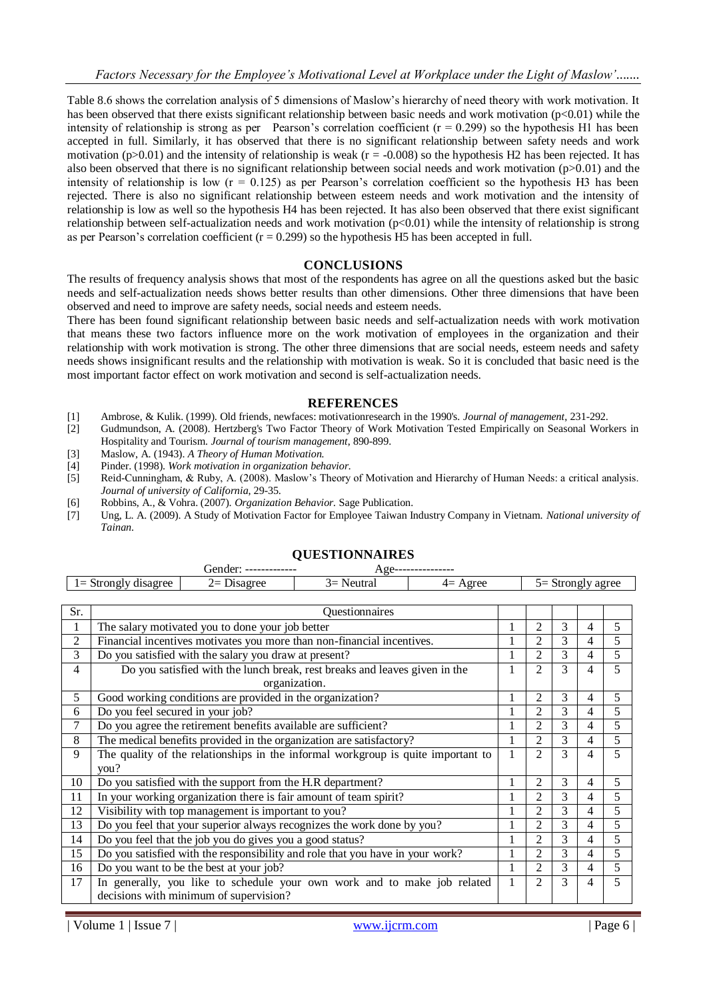Table 8.6 shows the correlation analysis of 5 dimensions of Maslow's hierarchy of need theory with work motivation. It has been observed that there exists significant relationship between basic needs and work motivation (p<0.01) while the intensity of relationship is strong as per Pearson's correlation coefficient ( $r = 0.299$ ) so the hypothesis H1 has been accepted in full. Similarly, it has observed that there is no significant relationship between safety needs and work motivation ( $p>0.01$ ) and the intensity of relationship is weak ( $r = -0.008$ ) so the hypothesis H2 has been rejected. It has also been observed that there is no significant relationship between social needs and work motivation (p>0.01) and the intensity of relationship is low  $(r = 0.125)$  as per Pearson's correlation coefficient so the hypothesis H3 has been rejected. There is also no significant relationship between esteem needs and work motivation and the intensity of relationship is low as well so the hypothesis H4 has been rejected. It has also been observed that there exist significant relationship between self-actualization needs and work motivation  $(p<0.01)$  while the intensity of relationship is strong as per Pearson's correlation coefficient  $(r = 0.299)$  so the hypothesis H5 has been accepted in full.

#### **CONCLUSIONS**

The results of frequency analysis shows that most of the respondents has agree on all the questions asked but the basic needs and self-actualization needs shows better results than other dimensions. Other three dimensions that have been observed and need to improve are safety needs, social needs and esteem needs.

There has been found significant relationship between basic needs and self-actualization needs with work motivation that means these two factors influence more on the work motivation of employees in the organization and their relationship with work motivation is strong. The other three dimensions that are social needs, esteem needs and safety needs shows insignificant results and the relationship with motivation is weak. So it is concluded that basic need is the most important factor effect on work motivation and second is self-actualization needs.

#### **REFERENCES**

- [1] Ambrose, & Kulik. (1999). Old friends, newfaces: motivationresearch in the 1990's. *Journal of management*, 231-292.
- [2] Gudmundson, A. (2008). Hertzberg's Two Factor Theory of Work Motivation Tested Empirically on Seasonal Workers in Hospitality and Tourism. *Journal of tourism management*, 890-899.
- [3] Maslow, A. (1943). *A Theory of Human Motivation.*
- [4] Pinder. (1998). *Work motivation in organization behavior.*
- [5] Reid-Cunningham, & Ruby, A. (2008). Maslow's Theory of Motivation and Hierarchy of Human Needs: a critical analysis. *Journal of university of California*, 29-35.
- [6] Robbins, A., & Vohra. (2007). *Organization Behavior.* Sage Publication.
- [7] Ung, L. A. (2009). A Study of Motivation Factor for Employee Taiwan Industry Company in Vietnam. *National university of Tainan*.

|                | $1 =$ Strongly disagree<br>$2=Disagree$<br>$3=$ Neutral<br>$5 =$ Strongly agree<br>$4=$ Agree |                                                                   |                                                                               |  |              |                |   |   |   |  |  |
|----------------|-----------------------------------------------------------------------------------------------|-------------------------------------------------------------------|-------------------------------------------------------------------------------|--|--------------|----------------|---|---|---|--|--|
|                | Questionnaires                                                                                |                                                                   |                                                                               |  |              |                |   |   |   |  |  |
| Sr.            |                                                                                               |                                                                   |                                                                               |  |              |                |   |   |   |  |  |
| 1              |                                                                                               | The salary motivated you to done your job better                  |                                                                               |  | 1            | 2              | 3 | 4 | 5 |  |  |
| $\overline{2}$ |                                                                                               |                                                                   | Financial incentives motivates you more than non-financial incentives.        |  |              | $\mathfrak{D}$ | 3 | 4 | 5 |  |  |
| 3              |                                                                                               | Do you satisfied with the salary you draw at present?             |                                                                               |  | 1            | 2              | 3 | 4 | 5 |  |  |
| $\overline{4}$ |                                                                                               |                                                                   | Do you satisfied with the lunch break, rest breaks and leaves given in the    |  | 1            | $\overline{2}$ | 3 | 4 | 5 |  |  |
|                |                                                                                               |                                                                   | organization.                                                                 |  |              |                |   |   |   |  |  |
| 5              |                                                                                               | Good working conditions are provided in the organization?         |                                                                               |  |              | $\overline{2}$ | 3 | 4 | 5 |  |  |
| 6              | Do you feel secured in your job?                                                              |                                                                   |                                                                               |  |              |                |   | 4 | 5 |  |  |
| 7              | Do you agree the retirement benefits available are sufficient?                                |                                                                   |                                                                               |  |              |                |   | 4 | 5 |  |  |
| 8              | The medical benefits provided in the organization are satisfactory?                           |                                                                   |                                                                               |  |              |                |   | 4 | 5 |  |  |
| 9              | The quality of the relationships in the informal workgroup is quite important to<br>you?      |                                                                   |                                                                               |  |              |                | 3 | 4 | 5 |  |  |
| 10             |                                                                                               | Do you satisfied with the support from the H.R department?        |                                                                               |  | $\mathbf{1}$ | 2              | 3 | 4 | 5 |  |  |
| 11             |                                                                                               | In your working organization there is fair amount of team spirit? |                                                                               |  | 1            | 2              | 3 | 4 | 5 |  |  |
| 12             |                                                                                               | Visibility with top management is important to you?               |                                                                               |  |              | 2              | 3 | 4 | 5 |  |  |
| 13             |                                                                                               |                                                                   | Do you feel that your superior always recognizes the work done by you?        |  | $\mathbf{1}$ | $\overline{c}$ | 3 | 4 | 5 |  |  |
| 14             |                                                                                               | Do you feel that the job you do gives you a good status?          |                                                                               |  | $\mathbf{1}$ | 2              | 3 | 4 | 5 |  |  |
| 15             |                                                                                               |                                                                   | Do you satisfied with the responsibility and role that you have in your work? |  |              | $\overline{2}$ | 3 | 4 | 5 |  |  |
| 16             |                                                                                               | Do you want to be the best at your job?                           |                                                                               |  | 1            | 2              | 3 | 4 | 5 |  |  |
| 17             |                                                                                               | decisions with minimum of supervision?                            | In generally, you like to schedule your own work and to make job related      |  | $\mathbf{1}$ | 2              | 3 | 4 | 5 |  |  |

## **QUESTIONNAIRES**

Gender: ------------- Age---------------